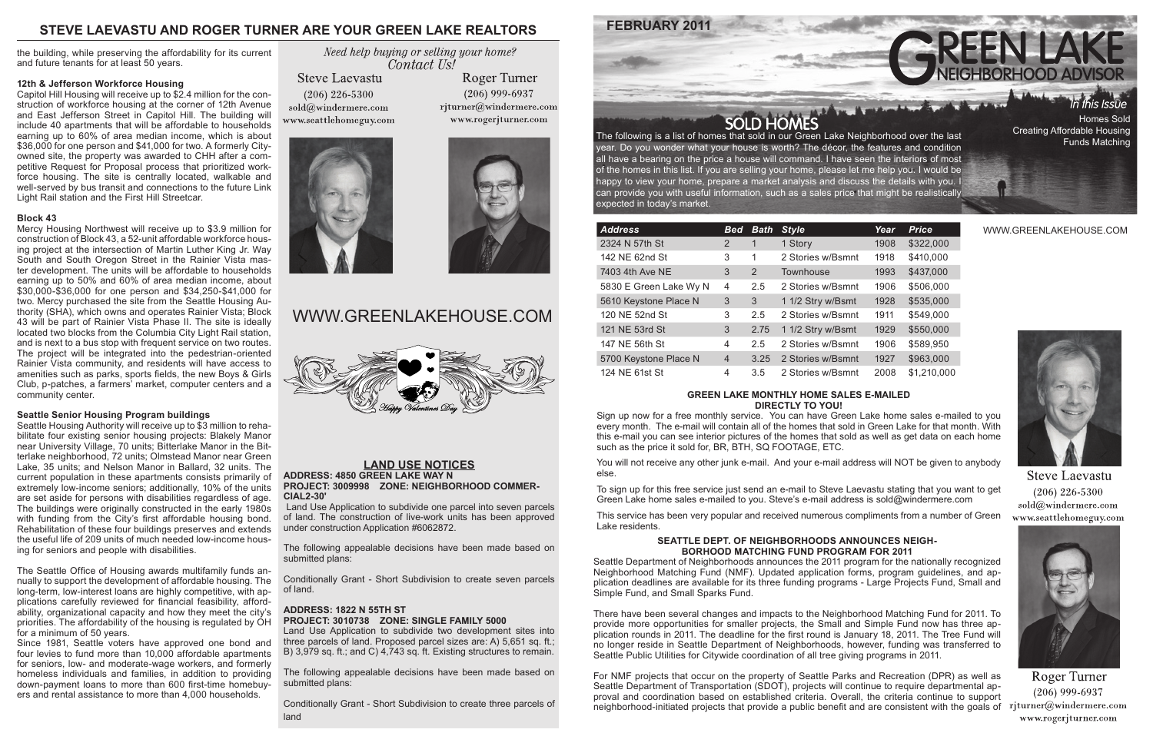WWW.GREENLAKEHOUSE.COM



**Steve Laevastu**  $(206)$  226-5300 sold@windermere.com www.seattlehomeguy.com



Roger Turner  $(206)$  999-6937 www.rogerjturner.com

# WWW.GREENLAKEHOUSE.COM



The following is a list of homes that sold in our Green Lake Neighborhood over the last year. Do you wonder what your house is worth? The décor, the features and condition all have a bearing on the price a house will command. I have seen the interiors of most of the homes in this list. If you are selling your home, please let me help you. I would be happy to view your home, prepare a market analysis and discuss the details with you. I can provide you with useful information, such as a sales price that might be realistically expected in today's market.

# **GREEN LAKE MONTHLY HOME SALES E-MAILED DIRECTLY TO YOU!**

Sign up now for a free monthly service. You can have Green Lake home sales e-mailed to you every month. The e-mail will contain all of the homes that sold in Green Lake for that month. With this e-mail you can see interior pictures of the homes that sold as well as get data on each home such as the price it sold for, BR, BTH, SQ FOOTAGE, ETC.

You will not receive any other junk e-mail. And your e-mail address will NOT be given to anybody else.

The following appealable decisions have been made based on submitted plans:

To sign up for this free service just send an e-mail to Steve Laevastu stating that you want to get Green Lake home sales e-mailed to you. Steve's e-mail address is sold@windermere.com

This service has been very popular and received numerous compliments from a number of Green Lake residents.

The following appealable decisions have been made based on submitted plans:

# **STEVE LAEVASTU AND ROGER TURNER ARE YOUR GREEN LAKE REALTORS**



Creating Affordable Housing Funds Matching

| <b>Address</b>         | <b>Bed</b>     | <b>Bath</b> | <b>Style</b>      | Year | <b>Price</b> |
|------------------------|----------------|-------------|-------------------|------|--------------|
| 2324 N 57th St         | 2              | 1           | 1 Story           | 1908 | \$322,000    |
| 142 NE 62nd St         | 3              | 1           | 2 Stories w/Bsmnt | 1918 | \$410,000    |
| 7403 4th Ave NE        | 3              | 2           | Townhouse         | 1993 | \$437,000    |
| 5830 E Green Lake Wy N | 4              | 2.5         | 2 Stories w/Bsmnt | 1906 | \$506,000    |
| 5610 Keystone Place N  | 3              | 3           | 1 1/2 Stry w/Bsmt | 1928 | \$535,000    |
| 120 NE 52nd St         | 3              | 2.5         | 2 Stories w/Bsmnt | 1911 | \$549,000    |
| 121 NE 53rd St         | 3              | 2.75        | 1 1/2 Stry w/Bsmt | 1929 | \$550,000    |
| 147 NE 56th St         | 4              | 2.5         | 2 Stories w/Bsmnt | 1906 | \$589,950    |
| 5700 Keystone Place N  | $\overline{4}$ | 3.25        | 2 Stories w/Bsmnt | 1927 | \$963,000    |
| 124 NE 61st St         | 4              | 3.5         | 2 Stories w/Bsmnt | 2008 | \$1,210,000  |

For NMF projects that occur on the property of Seattle Parks and Recreation (DPR) as well as Seattle Department of Transportation (SDOT), projects will continue to require departmental approval and coordination based on established criteria. Overall, the criteria continue to support neighborhood-initiated projects that provide a public benefit and are consistent with the goals of rjturner@windermere.com





# **LAND USE NOTICES**

**ADDRESS: 4850 GREEN LAKE WAY N PROJECT: 3009998 ZONE: NEIGHBORHOOD COMMER-CIAL2-30'** 

 Land Use Application to subdivide one parcel into seven parcels of land. The construction of live-work units has been approved under construction Application #6062872.

Conditionally Grant - Short Subdivision to create seven parcels of land.

# **ADDRESS: 1822 N 55TH ST PROJECT: 3010738 ZONE: SINGLE FAMILY 5000**

Land Use Application to subdivide two development sites into three parcels of land. Proposed parcel sizes are: A) 5,651 sq. ft.; B) 3,979 sq. ft.; and C) 4,743 sq. ft. Existing structures to remain.

Conditionally Grant - Short Subdivision to create three parcels of land

# **FEBRUARY 2011**

## **SEATTLE DEPT. OF NEIGHBORHOODS ANNOUNCES NEIGH-BORHOOD MATCHING FUND PROGRAM FOR 2011**

Seattle Department of Neighborhoods announces the 2011 program for the nationally recognized Neighborhood Matching Fund (NMF). Updated application forms, program guidelines, and application deadlines are available for its three funding programs - Large Projects Fund, Small and Simple Fund, and Small Sparks Fund.

There have been several changes and impacts to the Neighborhood Matching Fund for 2011. To provide more opportunities for smaller projects, the Small and Simple Fund now has three application rounds in 2011. The deadline for the first round is January 18, 2011. The Tree Fund will no longer reside in Seattle Department of Neighborhoods, however, funding was transferred to Seattle Public Utilities for Citywide coordination of all tree giving programs in 2011.

the building, while preserving the affordability for its current and future tenants for at least 50 years.

### **12th & Jefferson Workforce Housing**

Capitol Hill Housing will receive up to \$2.4 million for the construction of workforce housing at the corner of 12th Avenue and East Jefferson Street in Capitol Hill. The building will include 40 apartments that will be affordable to households earning up to 60% of area median income, which is about \$36,000 for one person and \$41,000 for two. A formerly Cityowned site, the property was awarded to CHH after a competitive Request for Proposal process that prioritized workforce housing. The site is centrally located, walkable and well-served by bus transit and connections to the future Link Light Rail station and the First Hill Streetcar.

## **Block 43**

Mercy Housing Northwest will receive up to \$3.9 million for construction of Block 43, a 52-unit affordable workforce housing project at the intersection of Martin Luther King Jr. Way South and South Oregon Street in the Rainier Vista master development. The units will be affordable to households earning up to 50% and 60% of area median income, about \$30,000-\$36,000 for one person and \$34,250-\$41,000 for two. Mercy purchased the site from the Seattle Housing Authority (SHA), which owns and operates Rainier Vista; Block 43 will be part of Rainier Vista Phase II. The site is ideally located two blocks from the Columbia City Light Rail station, and is next to a bus stop with frequent service on two routes. The project will be integrated into the pedestrian-oriented Rainier Vista community, and residents will have access to amenities such as parks, sports fields, the new Boys & Girls Club, p-patches, a farmers' market, computer centers and a community center.

## **Seattle Senior Housing Program buildings**

Seattle Housing Authority will receive up to \$3 million to rehabilitate four existing senior housing projects: Blakely Manor near University Village, 70 units; Bitterlake Manor in the Bitterlake neighborhood, 72 units; Olmstead Manor near Green Lake, 35 units; and Nelson Manor in Ballard, 32 units. The current population in these apartments consists primarily of extremely low-income seniors; additionally, 10% of the units are set aside for persons with disabilities regardless of age. The buildings were originally constructed in the early 1980s with funding from the City's first affordable housing bond. Rehabilitation of these four buildings preserves and extends the useful life of 209 units of much needed low-income housing for seniors and people with disabilities.

The Seattle Office of Housing awards multifamily funds annually to support the development of affordable housing. The long-term, low-interest loans are highly competitive, with applications carefully reviewed for financial feasibility, affordability, organizational capacity and how they meet the city's priorities. The affordability of the housing is regulated by OH for a minimum of 50 years.

Since 1981, Seattle voters have approved one bond and four levies to fund more than 10,000 affordable apartments for seniors, low- and moderate-wage workers, and formerly homeless individuals and families, in addition to providing down-payment loans to more than 600 first-time homebuyers and rental assistance to more than 4,000 households.

Need help buying or selling your home? Contact Us!

**Steve Laevastu**  $(206)$  226-5300 sold@windermere.com www.seattlehomeguy.com